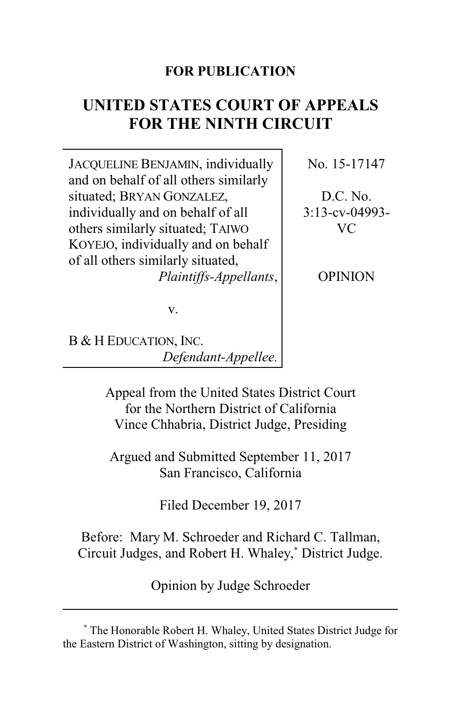# **FOR PUBLICATION**

# **UNITED STATES COURT OF APPEALS FOR THE NINTH CIRCUIT**

JACQUELINE BENJAMIN, individually and on behalf of all others similarly situated; BRYAN GONZALEZ, individually and on behalf of all others similarly situated; TAIWO KOYEJO, individually and on behalf of all others similarly situated, *Plaintiffs-Appellants*, No. 15-17147

D.C. No. 3:13-cv-04993- VC

OPINION

v.

B & H EDUCATION, INC. *Defendant-Appellee.*

> Appeal from the United States District Court for the Northern District of California Vince Chhabria, District Judge, Presiding

Argued and Submitted September 11, 2017 San Francisco, California

Filed December 19, 2017

Before: Mary M. Schroeder and Richard C. Tallman, Circuit Judges, and Robert H. Whaley, **\*** District Judge.

Opinion by Judge Schroeder

**<sup>\*</sup>** The Honorable Robert H. Whaley, United States District Judge for the Eastern District of Washington, sitting by designation.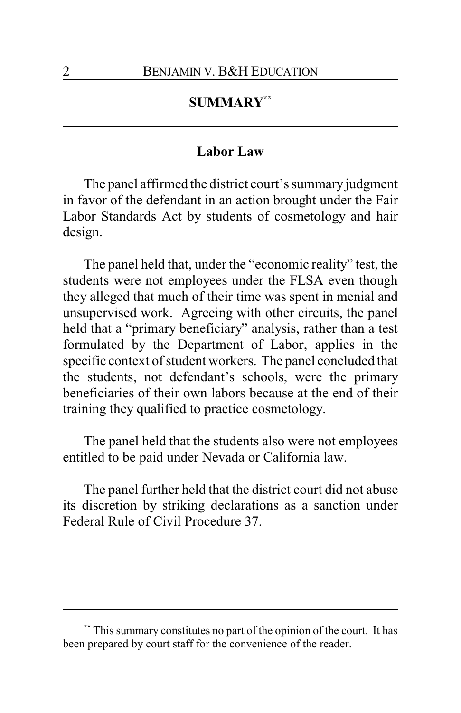## **SUMMARY\*\***

#### **Labor Law**

The panel affirmed the district court's summary judgment in favor of the defendant in an action brought under the Fair Labor Standards Act by students of cosmetology and hair design.

The panel held that, under the "economic reality" test, the students were not employees under the FLSA even though they alleged that much of their time was spent in menial and unsupervised work. Agreeing with other circuits, the panel held that a "primary beneficiary" analysis, rather than a test formulated by the Department of Labor, applies in the specific context of student workers. The panel concluded that the students, not defendant's schools, were the primary beneficiaries of their own labors because at the end of their training they qualified to practice cosmetology.

The panel held that the students also were not employees entitled to be paid under Nevada or California law.

The panel further held that the district court did not abuse its discretion by striking declarations as a sanction under Federal Rule of Civil Procedure 37.

**<sup>\*\*</sup>** This summary constitutes no part of the opinion of the court. It has been prepared by court staff for the convenience of the reader.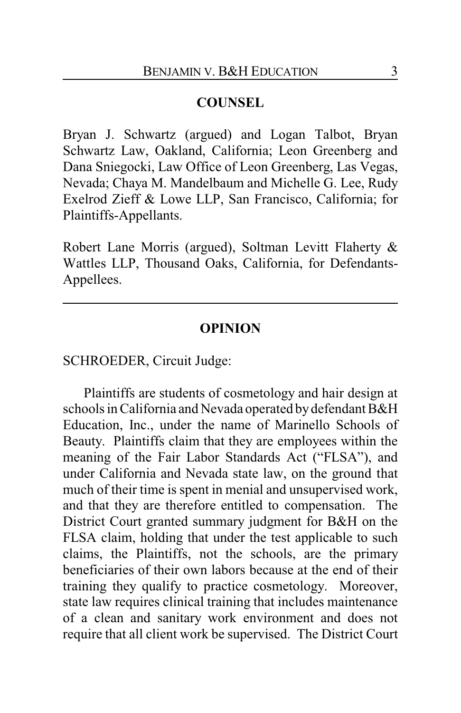#### **COUNSEL**

Bryan J. Schwartz (argued) and Logan Talbot, Bryan Schwartz Law, Oakland, California; Leon Greenberg and Dana Sniegocki, Law Office of Leon Greenberg, Las Vegas, Nevada; Chaya M. Mandelbaum and Michelle G. Lee, Rudy Exelrod Zieff & Lowe LLP, San Francisco, California; for Plaintiffs-Appellants.

Robert Lane Morris (argued), Soltman Levitt Flaherty & Wattles LLP, Thousand Oaks, California, for Defendants-Appellees.

### **OPINION**

SCHROEDER, Circuit Judge:

Plaintiffs are students of cosmetology and hair design at schools in California and Nevada operated by defendant B&H Education, Inc., under the name of Marinello Schools of Beauty. Plaintiffs claim that they are employees within the meaning of the Fair Labor Standards Act ("FLSA"), and under California and Nevada state law, on the ground that much of their time is spent in menial and unsupervised work, and that they are therefore entitled to compensation. The District Court granted summary judgment for B&H on the FLSA claim, holding that under the test applicable to such claims, the Plaintiffs, not the schools, are the primary beneficiaries of their own labors because at the end of their training they qualify to practice cosmetology. Moreover, state law requires clinical training that includes maintenance of a clean and sanitary work environment and does not require that all client work be supervised. The District Court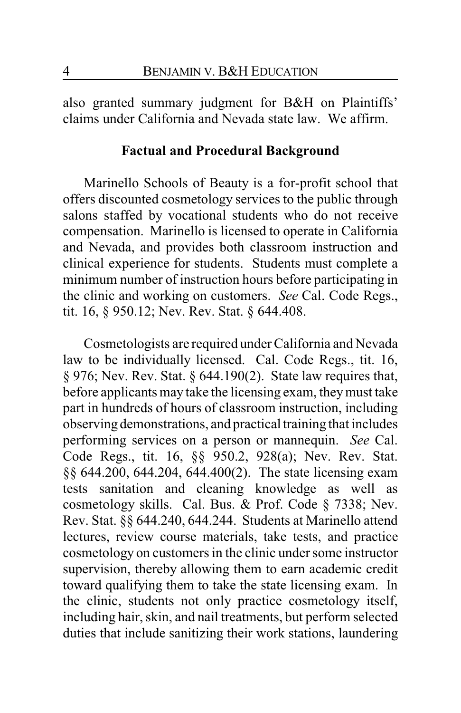also granted summary judgment for B&H on Plaintiffs' claims under California and Nevada state law. We affirm.

#### **Factual and Procedural Background**

Marinello Schools of Beauty is a for-profit school that offers discounted cosmetology services to the public through salons staffed by vocational students who do not receive compensation. Marinello is licensed to operate in California and Nevada, and provides both classroom instruction and clinical experience for students. Students must complete a minimum number of instruction hours before participating in the clinic and working on customers. *See* Cal. Code Regs., tit. 16, § 950.12; Nev. Rev. Stat. § 644.408.

Cosmetologists are required under California and Nevada law to be individually licensed. Cal. Code Regs., tit. 16, § 976; Nev. Rev. Stat. § 644.190(2). State law requires that, before applicants may take the licensing exam, theymust take part in hundreds of hours of classroom instruction, including observing demonstrations, and practical training that includes performing services on a person or mannequin. *See* Cal. Code Regs., tit. 16, §§ 950.2, 928(a); Nev. Rev. Stat. §§ 644.200, 644.204, 644.400(2). The state licensing exam tests sanitation and cleaning knowledge as well as cosmetology skills. Cal. Bus. & Prof. Code § 7338; Nev. Rev. Stat. §§ 644.240, 644.244. Students at Marinello attend lectures, review course materials, take tests, and practice cosmetology on customers in the clinic under some instructor supervision, thereby allowing them to earn academic credit toward qualifying them to take the state licensing exam. In the clinic, students not only practice cosmetology itself, including hair, skin, and nail treatments, but perform selected duties that include sanitizing their work stations, laundering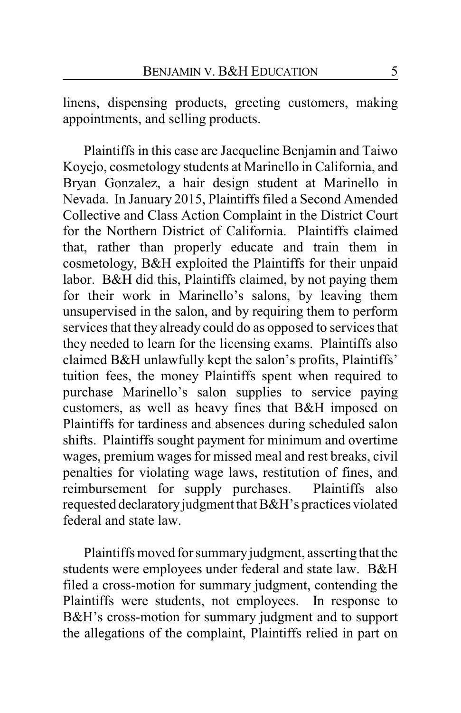linens, dispensing products, greeting customers, making appointments, and selling products.

Plaintiffs in this case are Jacqueline Benjamin and Taiwo Koyejo, cosmetology students at Marinello in California, and Bryan Gonzalez, a hair design student at Marinello in Nevada. In January 2015, Plaintiffs filed a Second Amended Collective and Class Action Complaint in the District Court for the Northern District of California. Plaintiffs claimed that, rather than properly educate and train them in cosmetology, B&H exploited the Plaintiffs for their unpaid labor. B&H did this, Plaintiffs claimed, by not paying them for their work in Marinello's salons, by leaving them unsupervised in the salon, and by requiring them to perform services that they already could do as opposed to services that they needed to learn for the licensing exams. Plaintiffs also claimed B&H unlawfully kept the salon's profits, Plaintiffs' tuition fees, the money Plaintiffs spent when required to purchase Marinello's salon supplies to service paying customers, as well as heavy fines that B&H imposed on Plaintiffs for tardiness and absences during scheduled salon shifts. Plaintiffs sought payment for minimum and overtime wages, premium wages for missed meal and rest breaks, civil penalties for violating wage laws, restitution of fines, and reimbursement for supply purchases. Plaintiffs also requested declaratory judgment that B&H's practices violated federal and state law.

Plaintiffs moved for summary judgment, asserting that the students were employees under federal and state law. B&H filed a cross-motion for summary judgment, contending the Plaintiffs were students, not employees. In response to B&H's cross-motion for summary judgment and to support the allegations of the complaint, Plaintiffs relied in part on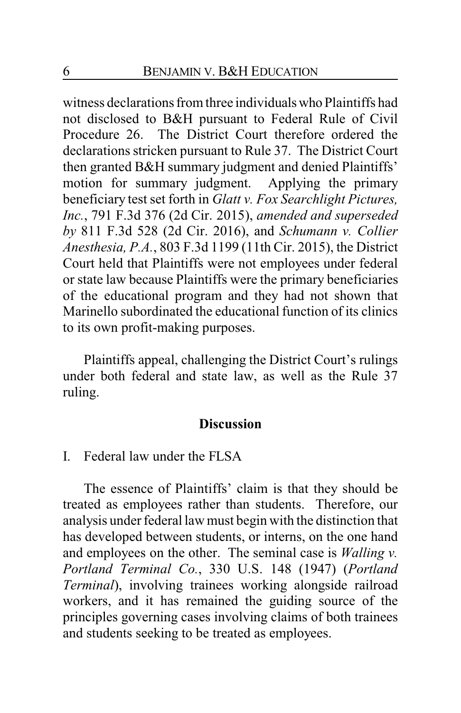witness declarations from three individualswho Plaintiffs had not disclosed to B&H pursuant to Federal Rule of Civil Procedure 26. The District Court therefore ordered the declarations stricken pursuant to Rule 37. The District Court then granted B&H summary judgment and denied Plaintiffs' motion for summary judgment. Applying the primary beneficiary test set forth in *Glatt v. Fox Searchlight Pictures, Inc.*, 791 F.3d 376 (2d Cir. 2015), *amended and superseded by* 811 F.3d 528 (2d Cir. 2016), and *Schumann v. Collier Anesthesia, P.A.*, 803 F.3d 1199 (11th Cir. 2015), the District Court held that Plaintiffs were not employees under federal or state law because Plaintiffs were the primary beneficiaries of the educational program and they had not shown that Marinello subordinated the educational function of its clinics to its own profit-making purposes.

Plaintiffs appeal, challenging the District Court's rulings under both federal and state law, as well as the Rule 37 ruling.

#### **Discussion**

I. Federal law under the FLSA

The essence of Plaintiffs' claim is that they should be treated as employees rather than students. Therefore, our analysis under federal law must begin with the distinction that has developed between students, or interns, on the one hand and employees on the other. The seminal case is *Walling v. Portland Terminal Co.*, 330 U.S. 148 (1947) (*Portland Terminal*), involving trainees working alongside railroad workers, and it has remained the guiding source of the principles governing cases involving claims of both trainees and students seeking to be treated as employees.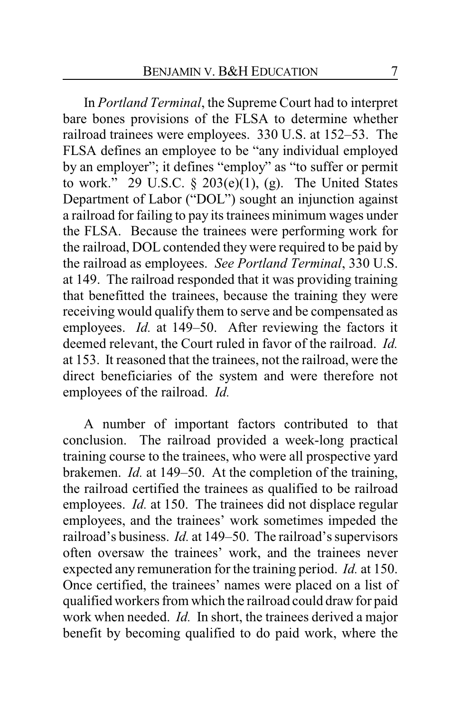In *Portland Terminal*, the Supreme Court had to interpret bare bones provisions of the FLSA to determine whether railroad trainees were employees. 330 U.S. at 152–53. The FLSA defines an employee to be "any individual employed by an employer"; it defines "employ" as "to suffer or permit to work." 29 U.S.C.  $\S$  203(e)(1), (g). The United States Department of Labor ("DOL") sought an injunction against a railroad for failing to pay its trainees minimum wages under the FLSA. Because the trainees were performing work for the railroad, DOL contended they were required to be paid by the railroad as employees. *See Portland Terminal*, 330 U.S. at 149. The railroad responded that it was providing training that benefitted the trainees, because the training they were receiving would qualify them to serve and be compensated as employees. *Id.* at 149–50. After reviewing the factors it deemed relevant, the Court ruled in favor of the railroad. *Id.* at 153. It reasoned that the trainees, not the railroad, were the direct beneficiaries of the system and were therefore not employees of the railroad. *Id.*

A number of important factors contributed to that conclusion. The railroad provided a week-long practical training course to the trainees, who were all prospective yard brakemen. *Id.* at 149–50. At the completion of the training, the railroad certified the trainees as qualified to be railroad employees. *Id.* at 150. The trainees did not displace regular employees, and the trainees' work sometimes impeded the railroad's business. *Id.* at 149–50. The railroad's supervisors often oversaw the trainees' work, and the trainees never expected any remuneration for the training period. *Id.* at 150. Once certified, the trainees' names were placed on a list of qualified workers from which the railroad could draw for paid work when needed. *Id.* In short, the trainees derived a major benefit by becoming qualified to do paid work, where the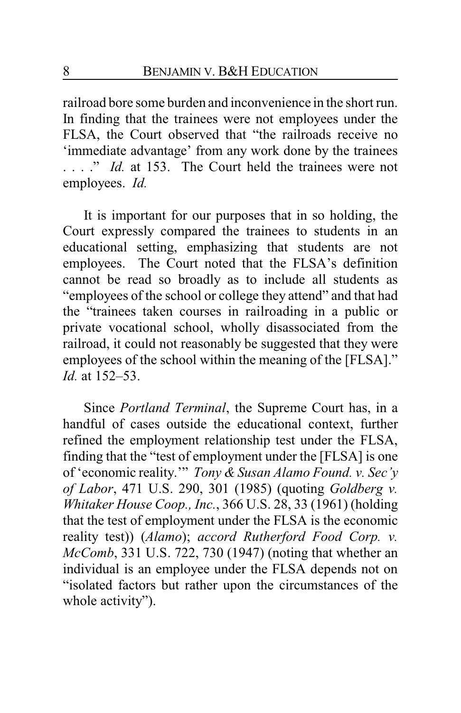railroad bore some burden and inconvenience in the short run. In finding that the trainees were not employees under the FLSA, the Court observed that "the railroads receive no 'immediate advantage' from any work done by the trainees . . . . *" Id.* at 153. The Court held the trainees were not employees. *Id.*

It is important for our purposes that in so holding, the Court expressly compared the trainees to students in an educational setting, emphasizing that students are not employees. The Court noted that the FLSA's definition cannot be read so broadly as to include all students as "employees of the school or college they attend" and that had the "trainees taken courses in railroading in a public or private vocational school, wholly disassociated from the railroad, it could not reasonably be suggested that they were employees of the school within the meaning of the [FLSA]." *Id.* at 152–53.

Since *Portland Terminal*, the Supreme Court has, in a handful of cases outside the educational context, further refined the employment relationship test under the FLSA, finding that the "test of employment under the [FLSA] is one of 'economic reality.'" *Tony & Susan Alamo Found. v. Sec'y of Labor*, 471 U.S. 290, 301 (1985) (quoting *Goldberg v. Whitaker House Coop., Inc.*, 366 U.S. 28, 33 (1961) (holding that the test of employment under the FLSA is the economic reality test)) (*Alamo*); *accord Rutherford Food Corp. v. McComb*, 331 U.S. 722, 730 (1947) (noting that whether an individual is an employee under the FLSA depends not on "isolated factors but rather upon the circumstances of the whole activity").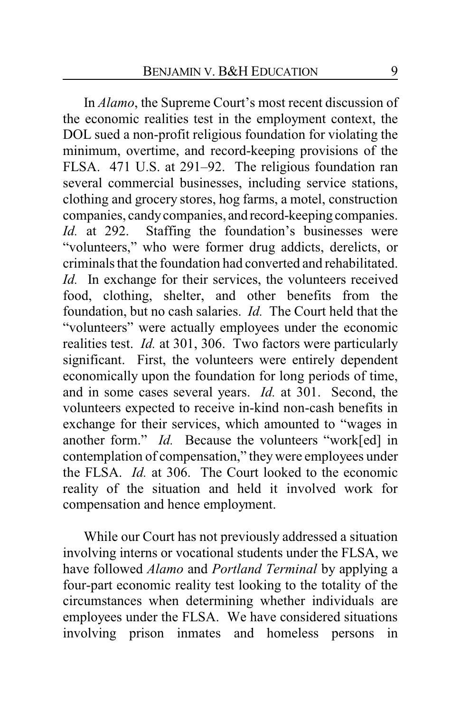In *Alamo*, the Supreme Court's most recent discussion of the economic realities test in the employment context, the DOL sued a non-profit religious foundation for violating the minimum, overtime, and record-keeping provisions of the FLSA. 471 U.S. at 291–92. The religious foundation ran several commercial businesses, including service stations, clothing and grocery stores, hog farms, a motel, construction companies, candycompanies, and record-keeping companies. *Id.* at 292. Staffing the foundation's businesses were "volunteers," who were former drug addicts, derelicts, or criminals that the foundation had converted and rehabilitated. *Id.* In exchange for their services, the volunteers received food, clothing, shelter, and other benefits from the foundation, but no cash salaries. *Id.* The Court held that the "volunteers" were actually employees under the economic realities test. *Id.* at 301, 306. Two factors were particularly significant. First, the volunteers were entirely dependent economically upon the foundation for long periods of time, and in some cases several years. *Id.* at 301. Second, the volunteers expected to receive in-kind non-cash benefits in exchange for their services, which amounted to "wages in another form." *Id.* Because the volunteers "work[ed] in contemplation of compensation," they were employees under the FLSA. *Id.* at 306. The Court looked to the economic reality of the situation and held it involved work for compensation and hence employment.

While our Court has not previously addressed a situation involving interns or vocational students under the FLSA, we have followed *Alamo* and *Portland Terminal* by applying a four-part economic reality test looking to the totality of the circumstances when determining whether individuals are employees under the FLSA. We have considered situations involving prison inmates and homeless persons in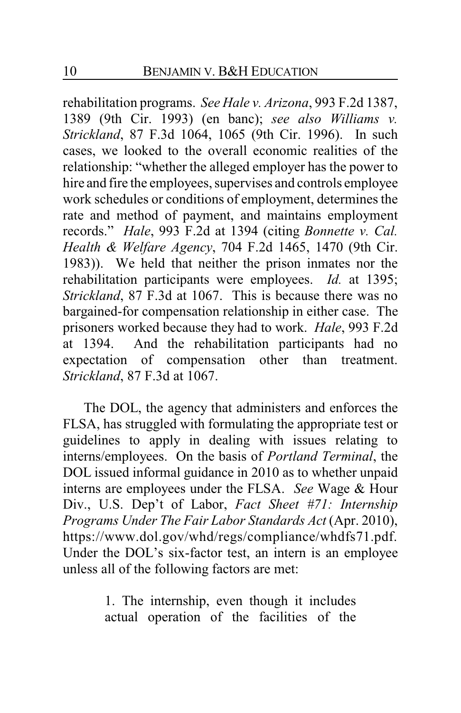rehabilitation programs. *See Hale v. Arizona*, 993 F.2d 1387, 1389 (9th Cir. 1993) (en banc); *see also Williams v. Strickland*, 87 F.3d 1064, 1065 (9th Cir. 1996). In such cases, we looked to the overall economic realities of the relationship: "whether the alleged employer has the power to hire and fire the employees, supervises and controls employee work schedules or conditions of employment, determines the rate and method of payment, and maintains employment records." *Hale*, 993 F.2d at 1394 (citing *Bonnette v. Cal. Health & Welfare Agency*, 704 F.2d 1465, 1470 (9th Cir. 1983)). We held that neither the prison inmates nor the rehabilitation participants were employees. *Id.* at 1395; *Strickland*, 87 F.3d at 1067. This is because there was no bargained-for compensation relationship in either case. The prisoners worked because they had to work. *Hale*, 993 F.2d at 1394. And the rehabilitation participants had no expectation of compensation other than treatment. *Strickland*, 87 F.3d at 1067.

The DOL, the agency that administers and enforces the FLSA, has struggled with formulating the appropriate test or guidelines to apply in dealing with issues relating to interns/employees. On the basis of *Portland Terminal*, the DOL issued informal guidance in 2010 as to whether unpaid interns are employees under the FLSA. *See* Wage & Hour Div., U.S. Dep't of Labor, *Fact Sheet #71: Internship Programs Under The Fair Labor Standards Act* (Apr. 2010), https://www.dol.gov/whd/regs/compliance/whdfs71.pdf. Under the DOL's six-factor test, an intern is an employee unless all of the following factors are met:

> 1. The internship, even though it includes actual operation of the facilities of the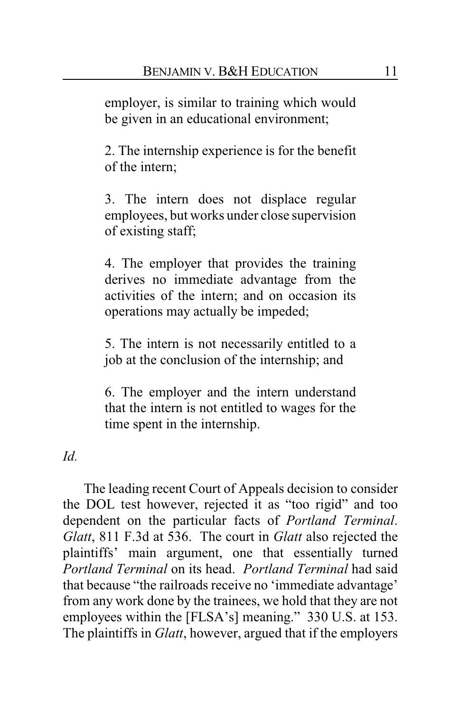employer, is similar to training which would be given in an educational environment;

2. The internship experience is for the benefit of the intern;

3. The intern does not displace regular employees, but works under close supervision of existing staff;

4. The employer that provides the training derives no immediate advantage from the activities of the intern; and on occasion its operations may actually be impeded;

5. The intern is not necessarily entitled to a job at the conclusion of the internship; and

6. The employer and the intern understand that the intern is not entitled to wages for the time spent in the internship.

*Id.*

The leading recent Court of Appeals decision to consider the DOL test however, rejected it as "too rigid" and too dependent on the particular facts of *Portland Terminal*. *Glatt*, 811 F.3d at 536. The court in *Glatt* also rejected the plaintiffs' main argument, one that essentially turned *Portland Terminal* on its head. *Portland Terminal* had said that because "the railroads receive no 'immediate advantage' from any work done by the trainees, we hold that they are not employees within the [FLSA's] meaning." 330 U.S. at 153. The plaintiffs in *Glatt*, however, argued that if the employers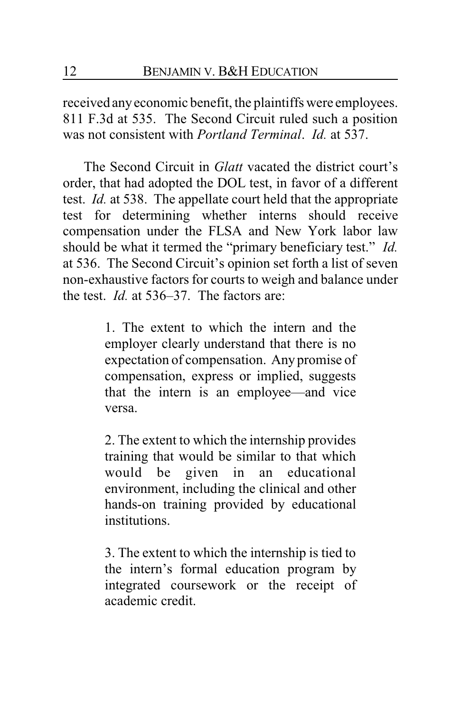received anyeconomic benefit, the plaintiffs were employees. 811 F.3d at 535. The Second Circuit ruled such a position was not consistent with *Portland Terminal*. *Id.* at 537.

The Second Circuit in *Glatt* vacated the district court's order, that had adopted the DOL test, in favor of a different test. *Id.* at 538. The appellate court held that the appropriate test for determining whether interns should receive compensation under the FLSA and New York labor law should be what it termed the "primary beneficiary test." *Id.* at 536. The Second Circuit's opinion set forth a list of seven non-exhaustive factors for courts to weigh and balance under the test. *Id.* at 536–37. The factors are:

> 1. The extent to which the intern and the employer clearly understand that there is no expectation of compensation. Any promise of compensation, express or implied, suggests that the intern is an employee—and vice versa.

> 2. The extent to which the internship provides training that would be similar to that which would be given in an educational environment, including the clinical and other hands-on training provided by educational institutions.

> 3. The extent to which the internship is tied to the intern's formal education program by integrated coursework or the receipt of academic credit.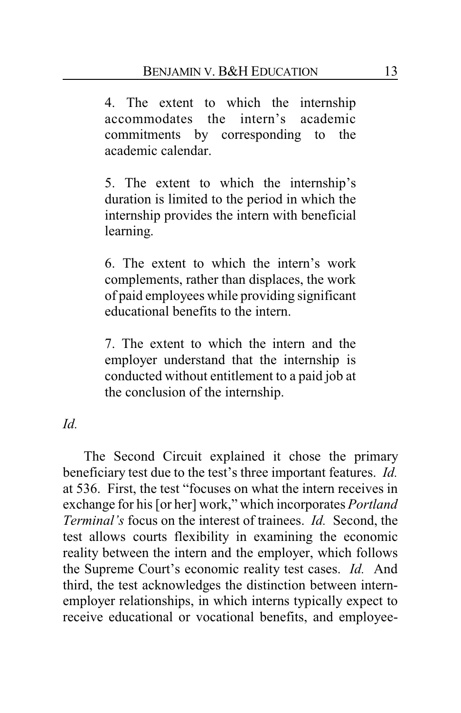4. The extent to which the internship accommodates the intern's academic commitments by corresponding to the academic calendar.

5. The extent to which the internship's duration is limited to the period in which the internship provides the intern with beneficial learning.

6. The extent to which the intern's work complements, rather than displaces, the work of paid employees while providing significant educational benefits to the intern.

7. The extent to which the intern and the employer understand that the internship is conducted without entitlement to a paid job at the conclusion of the internship.

*Id.*

The Second Circuit explained it chose the primary beneficiary test due to the test's three important features. *Id.* at 536. First, the test "focuses on what the intern receives in exchange for his [or her] work," which incorporates *Portland Terminal's* focus on the interest of trainees. *Id.* Second, the test allows courts flexibility in examining the economic reality between the intern and the employer, which follows the Supreme Court's economic reality test cases. *Id.* And third, the test acknowledges the distinction between internemployer relationships, in which interns typically expect to receive educational or vocational benefits, and employee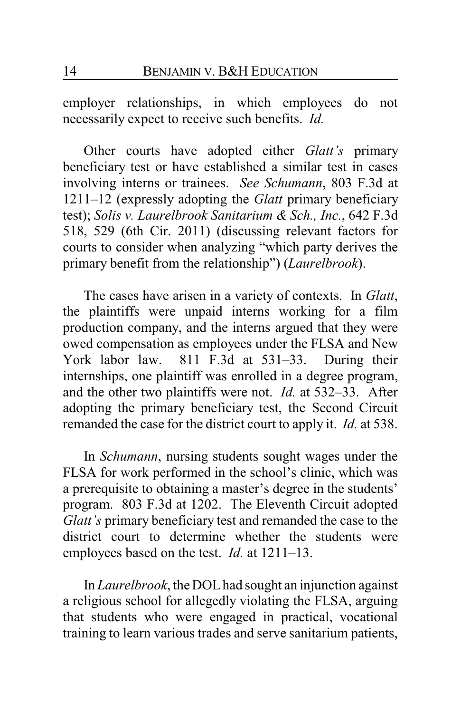employer relationships, in which employees do not necessarily expect to receive such benefits. *Id.*

Other courts have adopted either *Glatt's* primary beneficiary test or have established a similar test in cases involving interns or trainees. *See Schumann*, 803 F.3d at 1211–12 (expressly adopting the *Glatt* primary beneficiary test); *Solis v. Laurelbrook Sanitarium & Sch., Inc.*, 642 F.3d 518, 529 (6th Cir. 2011) (discussing relevant factors for courts to consider when analyzing "which party derives the primary benefit from the relationship") (*Laurelbrook*).

The cases have arisen in a variety of contexts. In *Glatt*, the plaintiffs were unpaid interns working for a film production company, and the interns argued that they were owed compensation as employees under the FLSA and New York labor law. 811 F.3d at 531–33. During their internships, one plaintiff was enrolled in a degree program, and the other two plaintiffs were not. *Id.* at 532–33. After adopting the primary beneficiary test, the Second Circuit remanded the case for the district court to apply it. *Id.* at 538.

In *Schumann*, nursing students sought wages under the FLSA for work performed in the school's clinic, which was a prerequisite to obtaining a master's degree in the students' program. 803 F.3d at 1202. The Eleventh Circuit adopted *Glatt's* primary beneficiary test and remanded the case to the district court to determine whether the students were employees based on the test. *Id.* at 1211–13.

In *Laurelbrook*, the DOLhad sought an injunction against a religious school for allegedly violating the FLSA, arguing that students who were engaged in practical, vocational training to learn various trades and serve sanitarium patients,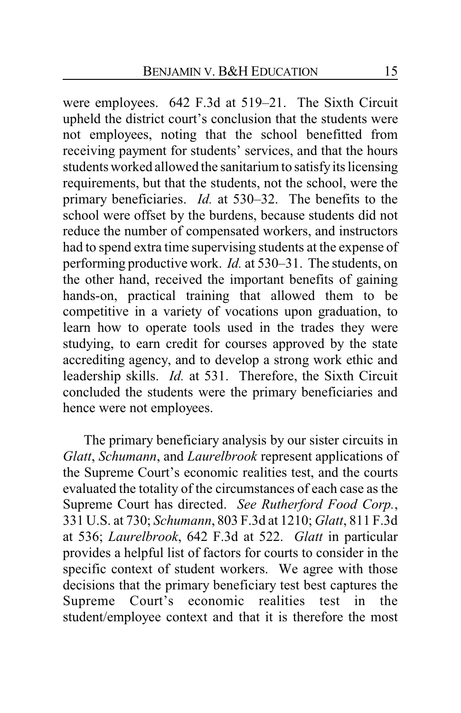were employees. 642 F.3d at 519–21. The Sixth Circuit upheld the district court's conclusion that the students were not employees, noting that the school benefitted from receiving payment for students' services, and that the hours students worked allowed the sanitarium to satisfyits licensing requirements, but that the students, not the school, were the primary beneficiaries. *Id.* at 530–32. The benefits to the school were offset by the burdens, because students did not reduce the number of compensated workers, and instructors had to spend extra time supervising students at the expense of performing productive work. *Id.* at 530–31. The students, on the other hand, received the important benefits of gaining hands-on, practical training that allowed them to be competitive in a variety of vocations upon graduation, to learn how to operate tools used in the trades they were studying, to earn credit for courses approved by the state accrediting agency, and to develop a strong work ethic and leadership skills. *Id.* at 531. Therefore, the Sixth Circuit concluded the students were the primary beneficiaries and hence were not employees.

The primary beneficiary analysis by our sister circuits in *Glatt*, *Schumann*, and *Laurelbrook* represent applications of the Supreme Court's economic realities test, and the courts evaluated the totality of the circumstances of each case as the Supreme Court has directed. *See Rutherford Food Corp.*, 331 U.S. at 730; *Schumann*, 803 F.3d at 1210; *Glatt*, 811 F.3d at 536; *Laurelbrook*, 642 F.3d at 522. *Glatt* in particular provides a helpful list of factors for courts to consider in the specific context of student workers. We agree with those decisions that the primary beneficiary test best captures the Supreme Court's economic realities test in the student/employee context and that it is therefore the most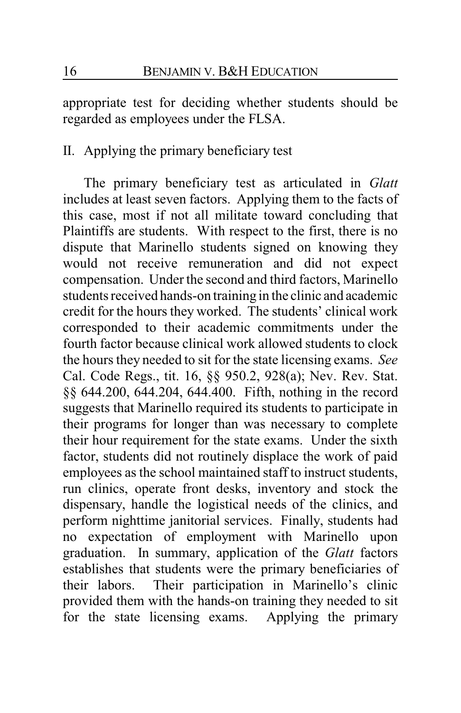appropriate test for deciding whether students should be regarded as employees under the FLSA.

## II. Applying the primary beneficiary test

The primary beneficiary test as articulated in *Glatt* includes at least seven factors. Applying them to the facts of this case, most if not all militate toward concluding that Plaintiffs are students. With respect to the first, there is no dispute that Marinello students signed on knowing they would not receive remuneration and did not expect compensation. Under the second and third factors, Marinello students received hands-on training in the clinic and academic credit for the hours they worked. The students' clinical work corresponded to their academic commitments under the fourth factor because clinical work allowed students to clock the hours they needed to sit for the state licensing exams. *See* Cal. Code Regs., tit. 16, §§ 950.2, 928(a); Nev. Rev. Stat. §§ 644.200, 644.204, 644.400. Fifth, nothing in the record suggests that Marinello required its students to participate in their programs for longer than was necessary to complete their hour requirement for the state exams. Under the sixth factor, students did not routinely displace the work of paid employees as the school maintained staff to instruct students, run clinics, operate front desks, inventory and stock the dispensary, handle the logistical needs of the clinics, and perform nighttime janitorial services. Finally, students had no expectation of employment with Marinello upon graduation. In summary, application of the *Glatt* factors establishes that students were the primary beneficiaries of their labors. Their participation in Marinello's clinic provided them with the hands-on training they needed to sit for the state licensing exams. Applying the primary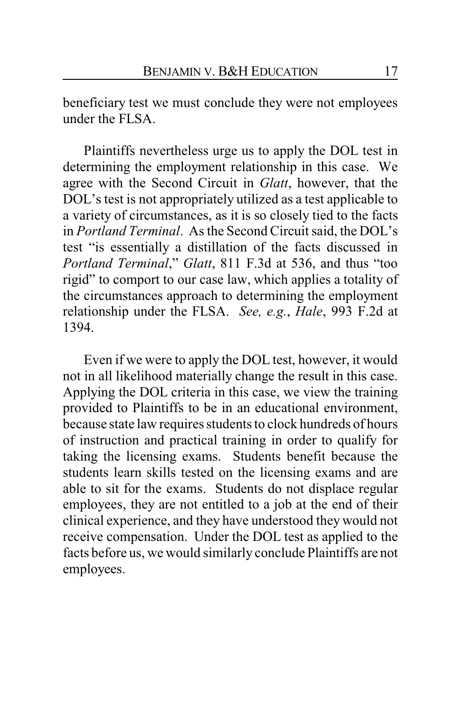beneficiary test we must conclude they were not employees under the FLSA.

Plaintiffs nevertheless urge us to apply the DOL test in determining the employment relationship in this case. We agree with the Second Circuit in *Glatt*, however, that the DOL's test is not appropriately utilized as a test applicable to a variety of circumstances, as it is so closely tied to the facts in *Portland Terminal*. As the Second Circuit said, the DOL's test "is essentially a distillation of the facts discussed in *Portland Terminal*," *Glatt*, 811 F.3d at 536, and thus "too rigid" to comport to our case law, which applies a totality of the circumstances approach to determining the employment relationship under the FLSA. *See, e.g.*, *Hale*, 993 F.2d at 1394.

Even if we were to apply the DOL test, however, it would not in all likelihood materially change the result in this case. Applying the DOL criteria in this case, we view the training provided to Plaintiffs to be in an educational environment, because state law requires students to clock hundreds of hours of instruction and practical training in order to qualify for taking the licensing exams. Students benefit because the students learn skills tested on the licensing exams and are able to sit for the exams. Students do not displace regular employees, they are not entitled to a job at the end of their clinical experience, and they have understood they would not receive compensation. Under the DOL test as applied to the facts before us, we would similarly conclude Plaintiffs are not employees.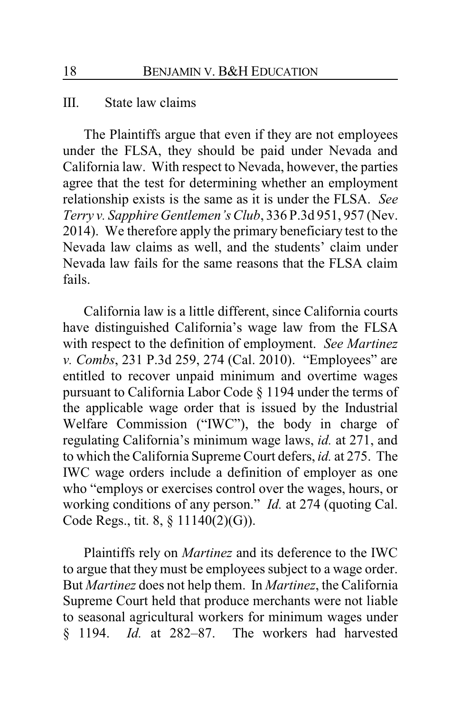#### III. State law claims

The Plaintiffs argue that even if they are not employees under the FLSA, they should be paid under Nevada and California law. With respect to Nevada, however, the parties agree that the test for determining whether an employment relationship exists is the same as it is under the FLSA. *See Terry v. Sapphire Gentlemen's Club*, 336 P.3d 951, 957 (Nev. 2014). We therefore apply the primary beneficiary test to the Nevada law claims as well, and the students' claim under Nevada law fails for the same reasons that the FLSA claim fails.

California law is a little different, since California courts have distinguished California's wage law from the FLSA with respect to the definition of employment. *See Martinez v. Combs*, 231 P.3d 259, 274 (Cal. 2010). "Employees" are entitled to recover unpaid minimum and overtime wages pursuant to California Labor Code § 1194 under the terms of the applicable wage order that is issued by the Industrial Welfare Commission ("IWC"), the body in charge of regulating California's minimum wage laws, *id.* at 271, and to which the California Supreme Court defers, *id.* at 275. The IWC wage orders include a definition of employer as one who "employs or exercises control over the wages, hours, or working conditions of any person." *Id.* at 274 (quoting Cal. Code Regs., tit. 8, § 11140(2)(G)).

Plaintiffs rely on *Martinez* and its deference to the IWC to argue that they must be employees subject to a wage order. But *Martinez* does not help them. In *Martinez*, the California Supreme Court held that produce merchants were not liable to seasonal agricultural workers for minimum wages under § 1194. *Id.* at 282–87. The workers had harvested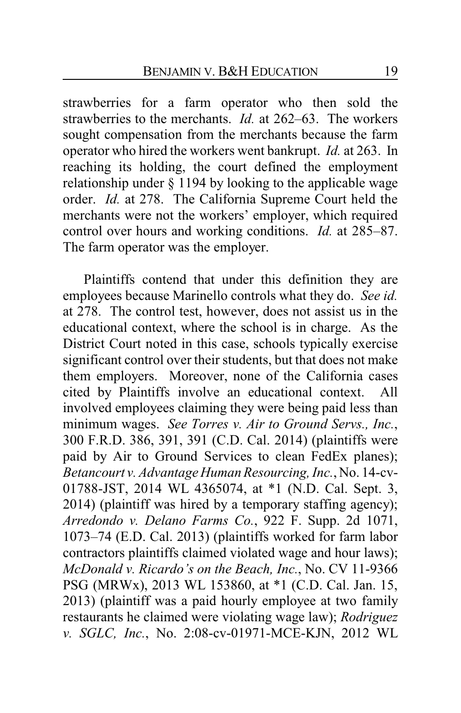strawberries for a farm operator who then sold the strawberries to the merchants. *Id.* at 262–63. The workers sought compensation from the merchants because the farm operator who hired the workers went bankrupt. *Id.* at 263. In reaching its holding, the court defined the employment relationship under § 1194 by looking to the applicable wage order. *Id.* at 278. The California Supreme Court held the merchants were not the workers' employer, which required control over hours and working conditions. *Id.* at 285–87. The farm operator was the employer.

Plaintiffs contend that under this definition they are employees because Marinello controls what they do. *See id.* at 278. The control test, however, does not assist us in the educational context, where the school is in charge. As the District Court noted in this case, schools typically exercise significant control over their students, but that does not make them employers. Moreover, none of the California cases cited by Plaintiffs involve an educational context. All involved employees claiming they were being paid less than minimum wages. *See Torres v. Air to Ground Servs., Inc.*, 300 F.R.D. 386, 391, 391 (C.D. Cal. 2014) (plaintiffs were paid by Air to Ground Services to clean FedEx planes); *Betancourt v. Advantage Human Resourcing, Inc.*, No. 14-cv-01788-JST, 2014 WL 4365074, at \*1 (N.D. Cal. Sept. 3, 2014) (plaintiff was hired by a temporary staffing agency); *Arredondo v. Delano Farms Co.*, 922 F. Supp. 2d 1071, 1073–74 (E.D. Cal. 2013) (plaintiffs worked for farm labor contractors plaintiffs claimed violated wage and hour laws); *McDonald v. Ricardo's on the Beach, Inc.*, No. CV 11-9366 PSG (MRWx), 2013 WL 153860, at \*1 (C.D. Cal. Jan. 15, 2013) (plaintiff was a paid hourly employee at two family restaurants he claimed were violating wage law); *Rodriguez v. SGLC, Inc.*, No. 2:08-cv-01971-MCE-KJN, 2012 WL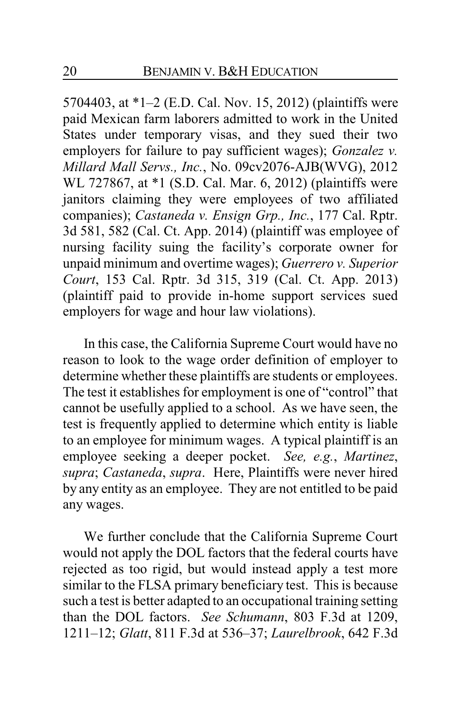5704403, at \*1–2 (E.D. Cal. Nov. 15, 2012) (plaintiffs were paid Mexican farm laborers admitted to work in the United States under temporary visas, and they sued their two employers for failure to pay sufficient wages); *Gonzalez v. Millard Mall Servs., Inc.*, No. 09cv2076-AJB(WVG), 2012 WL 727867, at \*1 (S.D. Cal. Mar. 6, 2012) (plaintiffs were janitors claiming they were employees of two affiliated companies); *Castaneda v. Ensign Grp., Inc.*, 177 Cal. Rptr. 3d 581, 582 (Cal. Ct. App. 2014) (plaintiff was employee of nursing facility suing the facility's corporate owner for unpaid minimum and overtime wages); *Guerrero v. Superior Court*, 153 Cal. Rptr. 3d 315, 319 (Cal. Ct. App. 2013) (plaintiff paid to provide in-home support services sued employers for wage and hour law violations).

In this case, the California Supreme Court would have no reason to look to the wage order definition of employer to determine whether these plaintiffs are students or employees. The test it establishes for employment is one of "control" that cannot be usefully applied to a school. As we have seen, the test is frequently applied to determine which entity is liable to an employee for minimum wages. A typical plaintiff is an employee seeking a deeper pocket. *See, e.g.*, *Martinez*, *supra*; *Castaneda*, *supra*. Here, Plaintiffs were never hired by any entity as an employee. They are not entitled to be paid any wages.

We further conclude that the California Supreme Court would not apply the DOL factors that the federal courts have rejected as too rigid, but would instead apply a test more similar to the FLSA primary beneficiary test. This is because such a test is better adapted to an occupational training setting than the DOL factors. *See Schumann*, 803 F.3d at 1209, 1211–12; *Glatt*, 811 F.3d at 536–37; *Laurelbrook*, 642 F.3d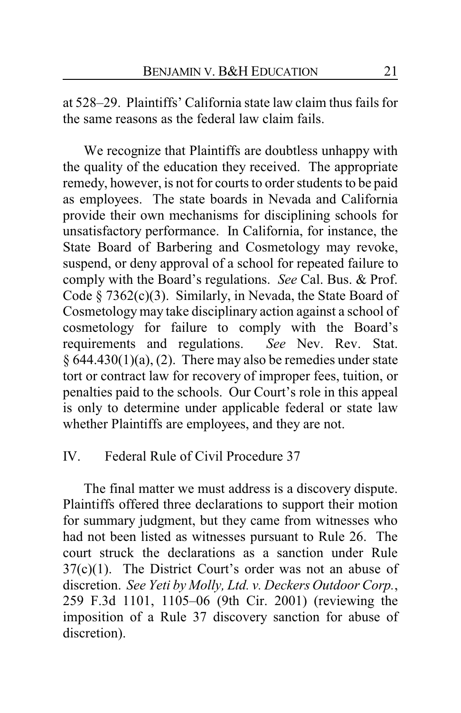at 528–29. Plaintiffs' California state law claim thus fails for the same reasons as the federal law claim fails.

We recognize that Plaintiffs are doubtless unhappy with the quality of the education they received. The appropriate remedy, however, is not for courts to order students to be paid as employees. The state boards in Nevada and California provide their own mechanisms for disciplining schools for unsatisfactory performance. In California, for instance, the State Board of Barbering and Cosmetology may revoke, suspend, or deny approval of a school for repeated failure to comply with the Board's regulations. *See* Cal. Bus. & Prof. Code § 7362(c)(3). Similarly, in Nevada, the State Board of Cosmetology may take disciplinary action against a school of cosmetology for failure to comply with the Board's requirements and regulations. *See* Nev. Rev. Stat.  $§ 644.430(1)(a), (2)$ . There may also be remedies under state tort or contract law for recovery of improper fees, tuition, or penalties paid to the schools. Our Court's role in this appeal is only to determine under applicable federal or state law whether Plaintiffs are employees, and they are not.

## IV. Federal Rule of Civil Procedure 37

The final matter we must address is a discovery dispute. Plaintiffs offered three declarations to support their motion for summary judgment, but they came from witnesses who had not been listed as witnesses pursuant to Rule 26. The court struck the declarations as a sanction under Rule  $37(c)(1)$ . The District Court's order was not an abuse of discretion. *See Yeti by Molly, Ltd. v. Deckers Outdoor Corp.*, 259 F.3d 1101, 1105–06 (9th Cir. 2001) (reviewing the imposition of a Rule 37 discovery sanction for abuse of discretion).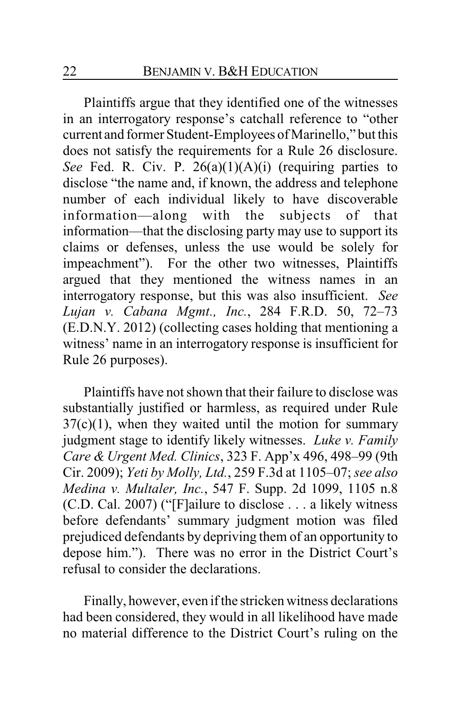Plaintiffs argue that they identified one of the witnesses in an interrogatory response's catchall reference to "other current and former Student-Employees of Marinello," but this does not satisfy the requirements for a Rule 26 disclosure. *See* Fed. R. Civ. P. 26(a)(1)(A)(i) (requiring parties to disclose "the name and, if known, the address and telephone number of each individual likely to have discoverable information—along with the subjects of that information—that the disclosing party may use to support its claims or defenses, unless the use would be solely for impeachment"). For the other two witnesses, Plaintiffs argued that they mentioned the witness names in an interrogatory response, but this was also insufficient. *See Lujan v. Cabana Mgmt., Inc.*, 284 F.R.D. 50, 72–73 (E.D.N.Y. 2012) (collecting cases holding that mentioning a witness' name in an interrogatory response is insufficient for Rule 26 purposes).

Plaintiffs have not shown that their failure to disclose was substantially justified or harmless, as required under Rule  $37(c)(1)$ , when they waited until the motion for summary judgment stage to identify likely witnesses. *Luke v. Family Care & Urgent Med. Clinics*, 323 F. App'x 496, 498–99 (9th Cir. 2009); *Yeti by Molly, Ltd.*, 259 F.3d at 1105–07; *see also Medina v. Multaler, Inc.*, 547 F. Supp. 2d 1099, 1105 n.8 (C.D. Cal. 2007) ("[F]ailure to disclose . . . a likely witness before defendants' summary judgment motion was filed prejudiced defendants by depriving them of an opportunity to depose him."). There was no error in the District Court's refusal to consider the declarations.

Finally, however, even if the stricken witness declarations had been considered, they would in all likelihood have made no material difference to the District Court's ruling on the